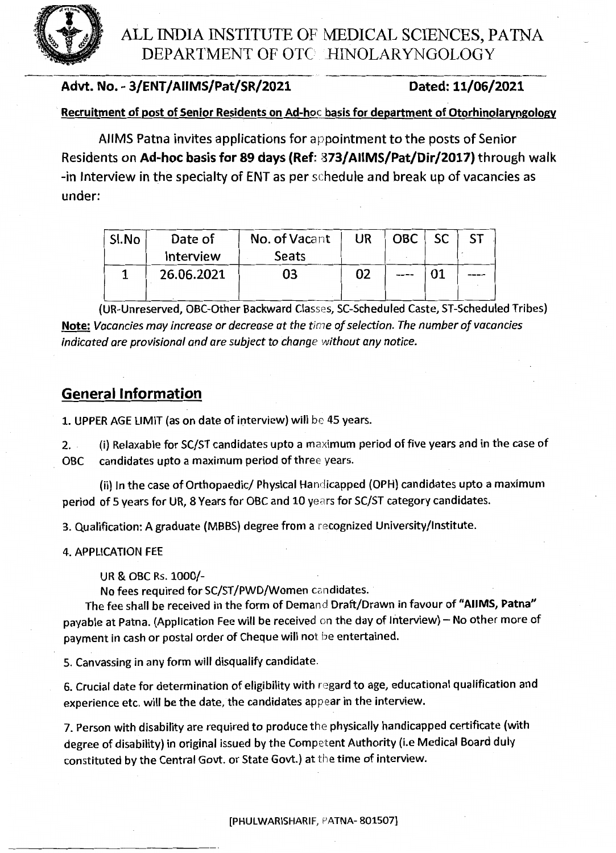ALL INDIA INSTITUTE OF MEDICAL SCIENCES, PATNA DEPARTMENT OF OTC .HINOLARYNGOLOGY

### Advt. No. - 3/ENT/AIIMS/Pat/SR/2021 Dated: 11/06/2021

Recruitment of post of Senior Residents on Ad-hoc basis for department of Otorhinolaryngology

AllMS Patna invites applications for appointment to the posts of Senior Residents on Ad-hoc basis for 89 days (Ref: 873/AllMS/Pat/Dir/2017) through walk -in Interview in the specialty of ENT as per schedule and break up of vacancies as under:

| Sl.No | Date of    | No. of Vacant | UR | OBC  | <b>SC</b> | -ST |
|-------|------------|---------------|----|------|-----------|-----|
|       | Interview  | <b>Seats</b>  |    |      |           |     |
|       | 26.06.2021 | 03            | 02 | ---- |           |     |
|       |            |               |    |      |           |     |

(UR-Unreserved, OBC-Other Backward Classes, SC-Scheduled Caste, ST-Scheduled Tribes) Note: *Vacancies may increase or decrease at the time of selection. The number of vacancies indicated are provisional and are subject to change without any notice.* 

## General Information

1. UPPER AGE LIMIT (as on date of interview) will be 45 years.

2. . (i) Relaxable for SC/ST candidates upto a maximum period of five years and in the case of OBC candidates upto a maximum period of three years.

(ii) In the case of Orthopaedic/ Physical Handicapped (OPH) candidates upto a maximum period of 5 years for UR, 8 Years for OBC and 10 years for SC/ST category candidates.

3. Qualification: A graduate (MBBS) degree from a recognized University/Institute.

#### 4. APPLICATION FEE

UR & OBC Rs. 1000/-

No fees required for SC/ST/PWD/Women candidates.

The fee shall be received in the form of Demand Draft/Drawn in favour of "AllMS, Patna" payable at Patna. (Application Fee will be received on the day of Interview) - No other more of payment in cash or postal order of Cheque will not be entertained.

5. Canvassing in any form will disqualify candidate.

6. Crucial date for determination of eligibility with regard to age, educational qualification and experience etc. will be the date, the candidates appear in the interview.

7. Person with disability are required to produce the physically handicapped certificate (with degree of disability) in original issued by the Competent Authority (i.e Medical Board duly constituted by the Central Govt. or State Govt.) at the time of interview.